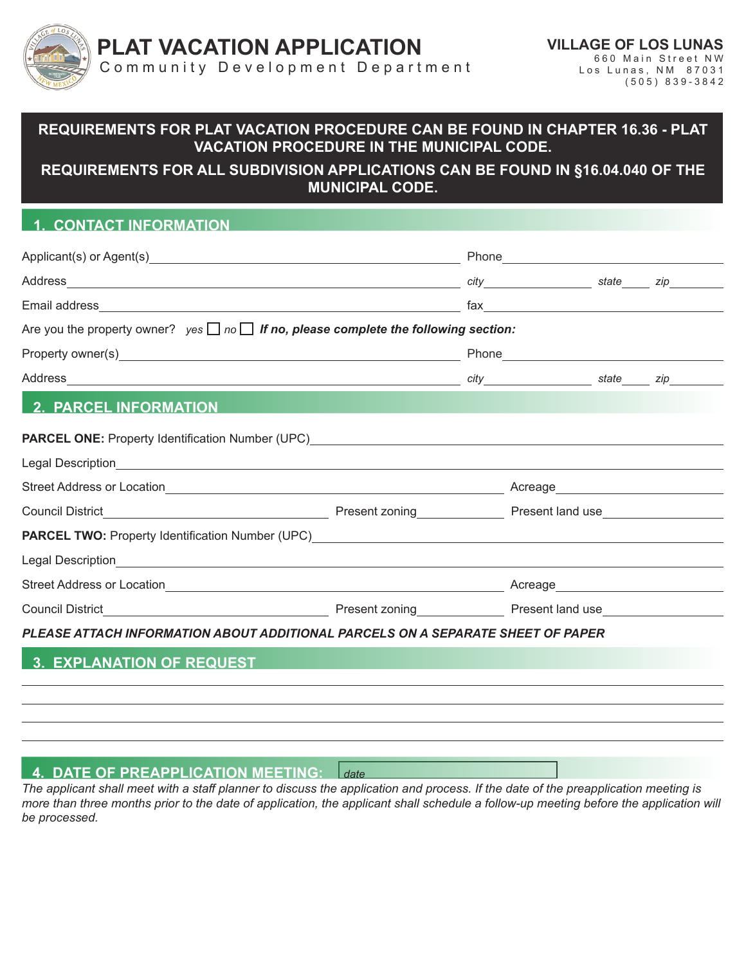

## **REQUIREMENTS FOR PLAT VACATION PROCEDURE CAN BE FOUND IN CHAPTER 16.36 - PLAT VACATION PROCEDURE IN THE MUNICIPAL CODE.**

### **REQUIREMENTS FOR ALL SUBDIVISION APPLICATIONS CAN BE FOUND IN §16.04.040 OF THE MUNICIPAL CODE.**

## **1. CONTACT INFORMATION**

|                                                                                                                                                                                                                                | Phone <b>Contract Contract Contract Contract Contract Contract Contract Contract Contract Contract Contract Contract Contract Contract Contract Contract Contract Contract Contract Contract Contract Contract Contract Contract</b> |  |  |
|--------------------------------------------------------------------------------------------------------------------------------------------------------------------------------------------------------------------------------|--------------------------------------------------------------------------------------------------------------------------------------------------------------------------------------------------------------------------------------|--|--|
|                                                                                                                                                                                                                                |                                                                                                                                                                                                                                      |  |  |
|                                                                                                                                                                                                                                |                                                                                                                                                                                                                                      |  |  |
| Are you the property owner? $yes \Box no \Box$ If no, please complete the following section:                                                                                                                                   |                                                                                                                                                                                                                                      |  |  |
|                                                                                                                                                                                                                                |                                                                                                                                                                                                                                      |  |  |
|                                                                                                                                                                                                                                |                                                                                                                                                                                                                                      |  |  |
| <b>2. PARCEL INFORMATION</b>                                                                                                                                                                                                   |                                                                                                                                                                                                                                      |  |  |
|                                                                                                                                                                                                                                |                                                                                                                                                                                                                                      |  |  |
|                                                                                                                                                                                                                                |                                                                                                                                                                                                                                      |  |  |
|                                                                                                                                                                                                                                | Acreage______________________________                                                                                                                                                                                                |  |  |
|                                                                                                                                                                                                                                |                                                                                                                                                                                                                                      |  |  |
| PARCEL TWO: Property Identification Number (UPC) [2001] [2002] [2002] [2002] [2002] [2002] [2002] [2002] [2002] [2002] [2002] [2002] [2002] [2002] [2002] [2002] [2002] [2002] [2002] [2002] [2002] [2002] [2002] [2002] [2002 |                                                                                                                                                                                                                                      |  |  |
|                                                                                                                                                                                                                                |                                                                                                                                                                                                                                      |  |  |
|                                                                                                                                                                                                                                | Acreage <b>Acreage Acreage</b>                                                                                                                                                                                                       |  |  |
|                                                                                                                                                                                                                                |                                                                                                                                                                                                                                      |  |  |
|                                                                                                                                                                                                                                |                                                                                                                                                                                                                                      |  |  |

*PLEASE ATTACH INFORMATION ABOUT ADDITIONAL PARCELS ON A SEPARATE SHEET OF PAPER*

## **3. EXPLANATION OF REQUEST**

#### **4. DATE OF PREAPPLICATION MEETING:** *date*

*The applicant shall meet with a staff planner to discuss the application and process. If the date of the preapplication meeting is more than three months prior to the date of application, the applicant shall schedule a follow-up meeting before the application will be processed.*